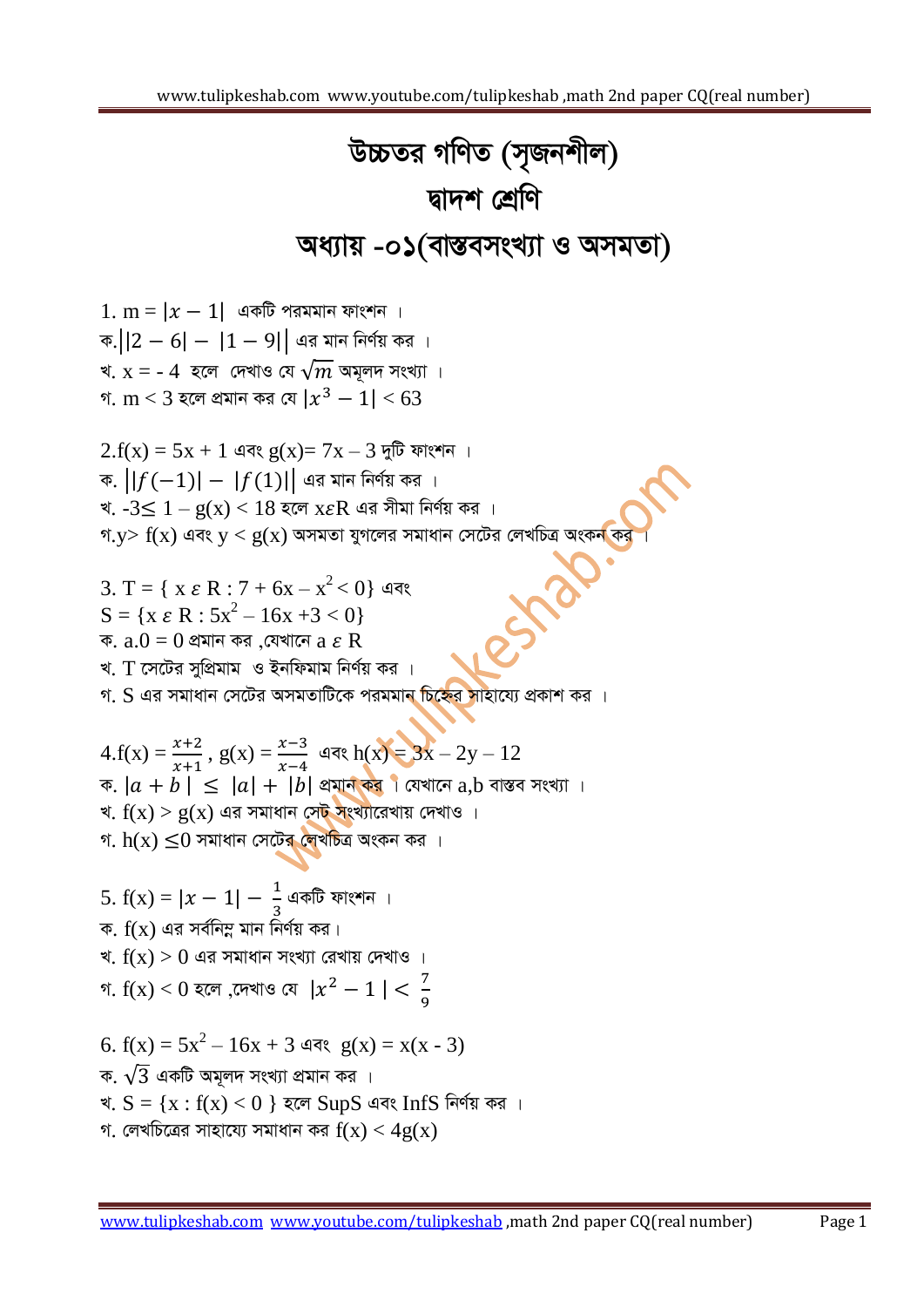## *D"PZi MwYZ (m"Rbkxj) Øv`k †kÖwY* **অধ্যায় -0১(বাস্তবসংখ্যা ও অসমতা)**

 $1. m = |x - 1|$  একটি পরমমান ফাংশন । ক. $||2 - 6| - |1 - 9||$  এর মান নির্ণয় কর । খ.  $x =$  - 4 *হলে দে*খাও যে  $\sqrt{m}$  অমূলদ সংখ্যা । গ.  $\rm m$   $<$  3 হলে প্ৰমান কর যে  $\rm |x^3 - 1|$   $<$   $\rm 63$  $2.f(x) = 5x + 1$  এবং  $g(x) = 7x - 3$  দুটি ফাংশন । ক.  $||f(-1)| - |f(1)||$  এর মান নির্ণয় কর । খ.  $-3 \leq 1 - g(x) < 18$  হলে  $x \in \mathbb{R}$  এর সীমা নির্ণয় কর । *M.y> f(x) এবং y < g(x) অসমতা যুগলের সমাধান সেটের লেখচিত্র অংকন কর*<br>3. T = { x  $\varepsilon$  R : 7 + 6x - x<sup>2</sup> < 0} এবং<br>S - { x - D = 7 }  $3. T = { x \varepsilon R : 7 + 6x - x^2 < 0 }$  এবং  $S = \{x \in \mathbb{R} : 5x^2 - 16x + 3 < 0\}$ ক.  $a.0 = 0$  প্রমান কর ,যেখানে  $a \varepsilon R$ খ. *T সেটের সুপ্রি*মাম ও ইনফিমাম নির্ণয় কর । *গ. S এর সমাধান সেটের অসমতাটিকে পরমমান চিহ্নের সাহায্যে প্রকাশ কর* ।  $4.f(x) = \frac{x+2}{x+1}, g(x) = \frac{x-3}{x-4}$  এবং  $h(x) = 3x - 2y - 12$  $\pi$ .  $|a + b| \leq |a| + |b|$  প্রমান কর**।** যেখানে  $a, b$  বাস্তব সংখ্যা । খ.  $f(x) > g(x)$  এর সমাধান সেট সংখ্যারেখায় দেখাও । গ.  $h(x) \leq 0$  সমাধান সেটের লেখচিত্র অংকন কর । 5.  $f(x) = |x - 1| - \frac{1}{2}$ <del>\_</del><br>3<br>3 ক.  $f(x)$  এর সর্বনিম্ন মান নির্ণয় কর। খ.  $f(x) > 0$  এর সমাধান সংখ্যা রেখায় দেখাও। গ.  $f(x) < 0$  হলে ,দেখাও যে  $|x^2 - 1| < \frac{7}{9}$ 9  $6. f(x) = 5x^2 - 16x + 3$  এবং  $g(x) = x(x - 3)$ ক.  $\sqrt{3}$  একটি অমূলদ সংখ্যা প্রমান কর । খ.  $S = \{x : f(x) < 0 \}$  হলে  $SupS$  এবং Inf $S$  নির্ণয় কর ।  $\eta$  লেখচিত্ৰের সাহায্যে সমাধান কর  $f(x) < 4g(x)$